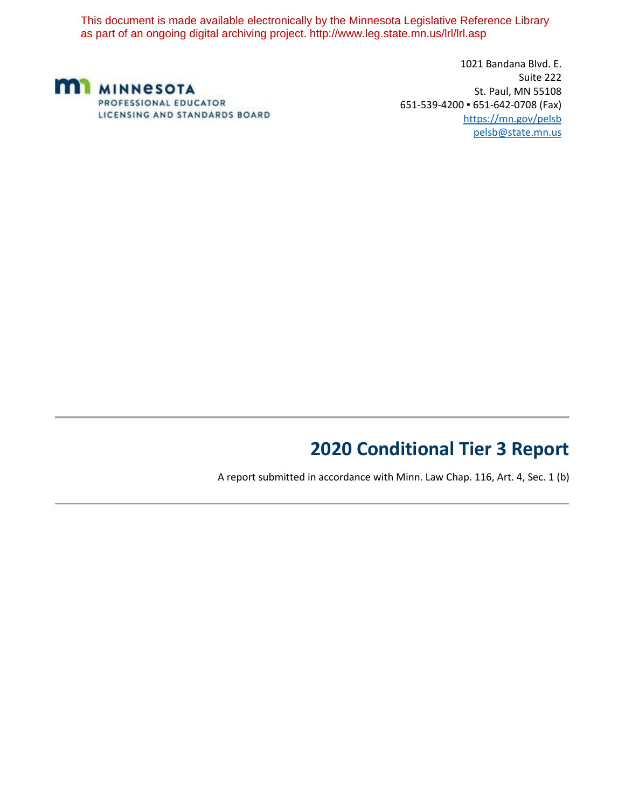This document is made available electronically by the Minnesota Legislative Reference Library as part of an ongoing digital archiving project. http://www.leg.state.mn.us/lrl/lrl.asp



1021 Bandana Blvd. E. Suite 222 St. Paul, MN 55108 651-539-4200 ▪ 651-642-0708 (Fax) https://mn.gov/pelsb pelsb@state.mn.us

## **2020 Conditional Tier 3 Report**

A report submitted in accordance with Minn. Law Chap. 116, Art. 4, Sec. 1 (b)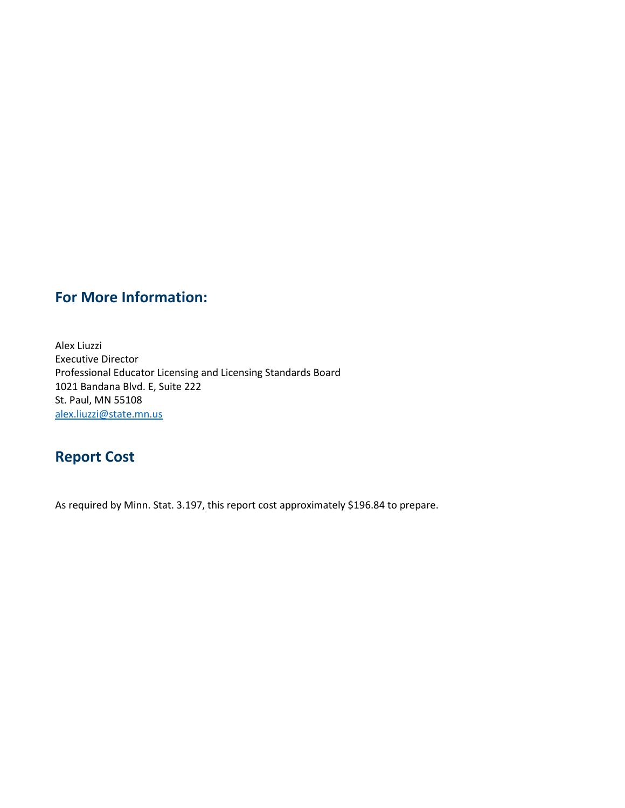### **For More Information:**

Alex Liuzzi Executive Director Professional Educator Licensing and Licensing Standards Board 1021 Bandana Blvd. E, Suite 222 St. Paul, MN 55108 [alex.liuzzi@state.mn.us](mailto:alex.liuzzi@state.mn.us)

### **Report Cost**

As required by Minn. Stat. 3.197, this report cost approximately \$196.84 to prepare.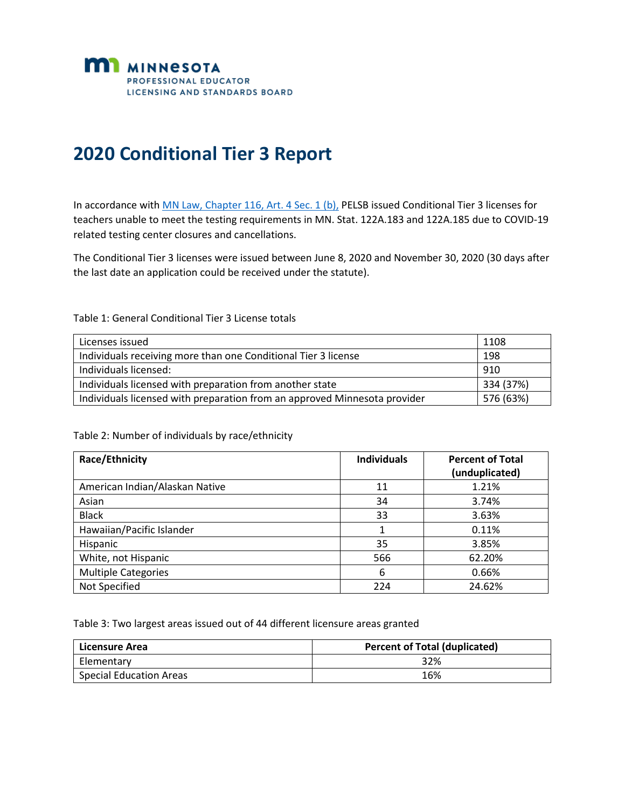

# **2020 Conditional Tier 3 Report**

In accordance with MN Law, Chapter [116, Art. 4 Sec. 1 \(b\),](https://www.revisor.mn.gov/laws/2020/0/Session+Law/Chapter/116/) PELSB issued Conditional Tier 3 licenses for teachers unable to meet the testing requirements in MN. Stat. 122A.183 and 122A.185 due to COVID-19 related testing center closures and cancellations.

The Conditional Tier 3 licenses were issued between June 8, 2020 and November 30, 2020 (30 days after the last date an application could be received under the statute).

Table 1: General Conditional Tier 3 License totals

| Licenses issued                                                           | 1108      |
|---------------------------------------------------------------------------|-----------|
| Individuals receiving more than one Conditional Tier 3 license            | 198       |
| Individuals licensed:                                                     | 910       |
| Individuals licensed with preparation from another state                  | 334 (37%) |
| Individuals licensed with preparation from an approved Minnesota provider | 576 (63%) |

#### Table 2: Number of individuals by race/ethnicity

| <b>Race/Ethnicity</b>          | <b>Individuals</b> | <b>Percent of Total</b><br>(unduplicated) |
|--------------------------------|--------------------|-------------------------------------------|
| American Indian/Alaskan Native | 11                 | 1.21%                                     |
| Asian                          | 34                 | 3.74%                                     |
| <b>Black</b>                   | 33                 | 3.63%                                     |
| Hawaiian/Pacific Islander      | 1                  | 0.11%                                     |
| Hispanic                       | 35                 | 3.85%                                     |
| White, not Hispanic            | 566                | 62.20%                                    |
| <b>Multiple Categories</b>     | 6                  | 0.66%                                     |
| Not Specified                  | 224                | 24.62%                                    |

Table 3: Two largest areas issued out of 44 different licensure areas granted

| Licensure Area                 | <b>Percent of Total (duplicated)</b> |
|--------------------------------|--------------------------------------|
| Elementary                     | 32%                                  |
| <b>Special Education Areas</b> | 16%                                  |